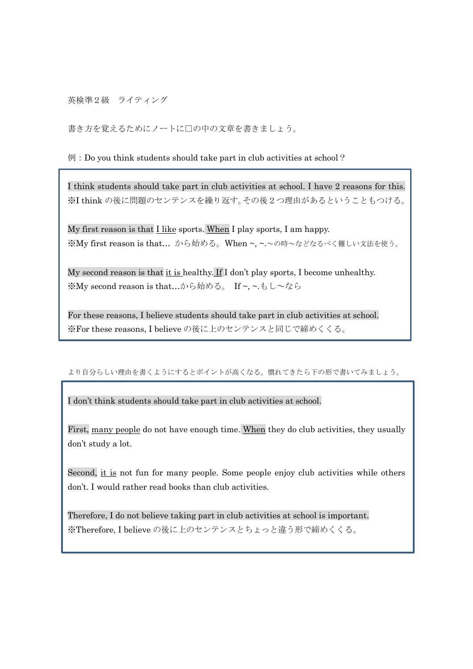英検準2級 ライティング

書き方を覚えるためにノートに□の中の文章を書きましょう。

## $\emptyset$ : Do you think students should take part in club activities at school?

I think students should take part in club activities at school. I have 2 reasons for this. ※I think の後に問題のセンテンスを繰り返す。その後2つ理由があるということもつける。

My first reason is that  $I$  like sports. When I play sports, I am happy. ※My first reason is that… から始める。When ~, ~.~の時~などなるべく難しい文法を使う。

My second reason is that  $\underline{it}$  is healthy. If I don't play sports, I become unhealthy. ※My second reason is that…から始める。 If ~, ~.もし~なら

For these reasons, I believe students should take part in club activities at school. ※For these reasons, I believe の後に上のセンテンスと同じで締めくくる。

## より自分らしい理由を書くようにするとポイントが高くなる。慣れてきたら下の形で書いてみましょう。

I don't think students should take part in club activities at school.

First, many people do not have enough time. When they do club activities, they usually don't study a lot.

Second, it is not fun for many people. Some people enjoy club activities while others don't. I would rather read books than club activities.

Therefore, I do not believe taking part in club activities at school is important. ※Therefore, I believe の後に上のセンテンスとちょっと違う形で締めくくる。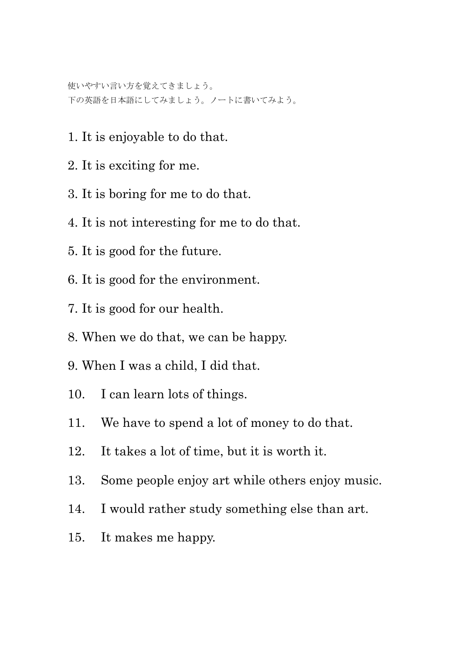使いやすい言い方を覚えてきましょう。 下の英語を日本語にしてみましょう。ノートに書いてみよう。

- 1. It is enjoyable to do that.
- 2. It is exciting for me.
- 3. It is boring for me to do that.
- 4. It is not interesting for me to do that.
- 5. It is good for the future.
- 6. It is good for the environment.
- 7. It is good for our health.
- 8. When we do that, we can be happy.
- 9. When I was a child, I did that.
- 10. I can learn lots of things.
- 11. We have to spend a lot of money to do that.
- 12. It takes a lot of time, but it is worth it.
- 13. Some people enjoy art while others enjoy music.
- 14. I would rather study something else than art.
- 15. It makes me happy.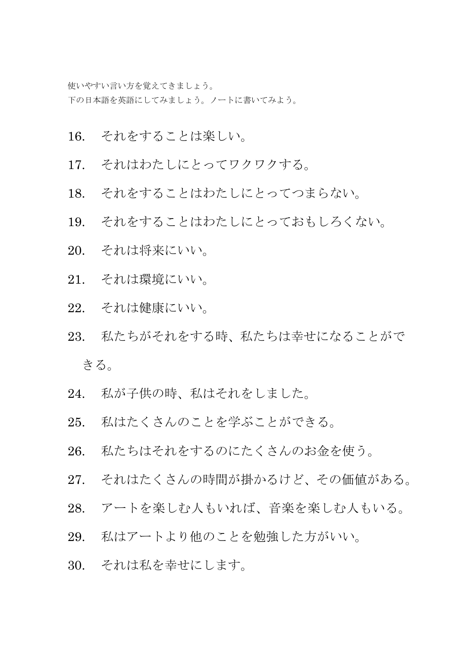使いやすい言い方を覚えてきましょう。 下の日本語を英語にしてみましょう。ノートに書いてみよう。

- 16. それをすることは楽しい。
- 17. それはわたしにとってワクワクする。
- 18. それをすることはわたしにとってつまらない。
- 19. それをすることはわたしにとっておもしろくない。
- 20. それは将来にいい。
- 21. それは環境にいい。
- 22. それは健康にいい。
- 23. 私たちがそれをする時、私たちは幸せになることがで きる。
- 24. 私が子供の時、私はそれをしました。
- 25. 私はたくさんのことを学ぶことができる。
- 26. 私たちはそれをするのにたくさんのお金を使う。
- 27. それはたくさんの時間が掛かるけど、その価値がある。
- 28. アートを楽しむ人もいれば、音楽を楽しむ人もいる。
- 29. 私はアートより他のことを勉強した方がいい。
- 30. それは私を幸せにします。